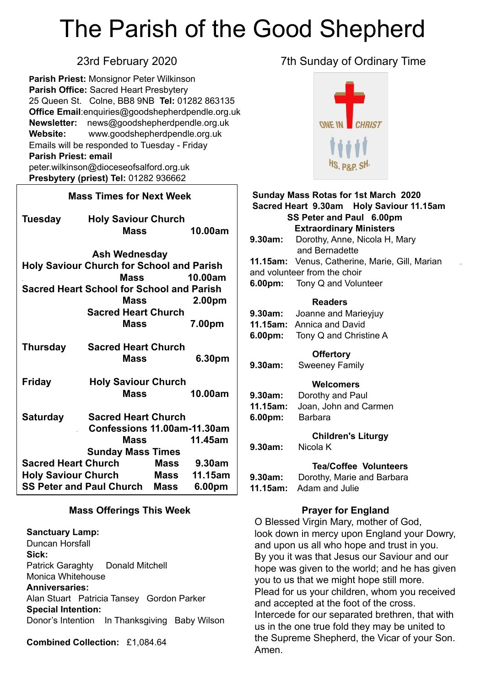# The Parish of the Good Shepherd

**Parish Priest:** Monsignor Peter Wilkinson **Parish Office:** Sacred Heart Presbytery 25 Queen St. Colne, BB8 9NB **Tel:** 01282 863135 **Office Email**[:enquiries@goodshepherdpendle.org.uk](mailto:enquiries@goodshepherdpendle.org.uk) **Newsletter:** news@goodshepherdpendle.org.uk **Website:** www.goodshepherdpendle.org.uk Emails will be responded to Tuesday - Friday **Parish Priest: email**  [peter.wilkinson@dioceseofsalford.org.uk](mailto:Emailpeter.wilkinson@dioceseofsalford.org.uk) **Presbytery (priest) Tel:** 01282 936662

#### **Mass Times for Next Week**

| Tuesday<br><b>Holy Saviour Church</b>            |                                  |         |         |  |
|--------------------------------------------------|----------------------------------|---------|---------|--|
|                                                  | Mass                             |         | 10.00am |  |
|                                                  | Ash Wednesday                    |         |         |  |
| <b>Holy Saviour Church for School and Parish</b> |                                  |         |         |  |
|                                                  | Mass                             |         | 10.00am |  |
| <b>Sacred Heart School for School and Parish</b> |                                  |         |         |  |
|                                                  | <b>Mass</b>                      |         | 2.00pm  |  |
|                                                  | <b>Sacred Heart Church</b>       |         |         |  |
|                                                  | Mass                             |         | 7.00pm  |  |
|                                                  |                                  |         |         |  |
| <b>Thursday</b>                                  | <b>Sacred Heart Church</b>       |         |         |  |
|                                                  | <b>Mass</b>                      |         | 6.30pm  |  |
| <b>Friday</b>                                    | <b>Holy Saviour Church</b>       |         |         |  |
|                                                  | Mass                             |         | 10.00am |  |
| <b>Saturday</b>                                  | <b>Sacred Heart Church</b>       |         |         |  |
|                                                  | Confessions 11.00am-11.30am      |         |         |  |
|                                                  |                                  | Massala | 11.45am |  |
|                                                  | <b>Sunday Mass Times</b>         |         |         |  |
|                                                  | Sacred Heart Church Mass 9.30am  |         |         |  |
|                                                  | Holy Saviour Church Mass 11.15am |         |         |  |
|                                                  | SS Peter and Paul Church Mass    |         | 6.00pm  |  |

#### **Mass Offerings This Week**

**Sanctuary Lamp:**  Duncan Horsfall **Sick:** Patrick Garaghty Donald Mitchell Monica Whitehouse **Anniversaries:** Alan Stuart Patricia Tansey Gordon Parker **Special Intention:** Donor's Intention In Thanksgiving Baby Wilson

**Combined Collection:** £1,084.64

### 23rd February 2020 7th Sunday of Ordinary Time



| <b>Sunday Mass Rotas for 1st March 2020</b> |                                                |  |  |
|---------------------------------------------|------------------------------------------------|--|--|
| Sacred Heart 9.30am Holy Saviour 11.15am    |                                                |  |  |
| SS Peter and Paul 6.00pm                    |                                                |  |  |
| <b>Extraordinary Ministers</b>              |                                                |  |  |
| 9.30am:                                     | Dorothy, Anne, Nicola H, Mary                  |  |  |
|                                             | and Bernadette                                 |  |  |
|                                             | 11.15am: Venus, Catherine, Marie, Gill, Marian |  |  |
| and volunteer from the choir                |                                                |  |  |
|                                             | <b>6.00pm:</b> Tony Q and Volunteer            |  |  |
|                                             | <b>Readers</b>                                 |  |  |
|                                             | 9.30am: Joanne and Marieyjuy                   |  |  |
|                                             | 11.15am: Annica and David                      |  |  |
|                                             | <b>6.00pm:</b> Tony Q and Christine A          |  |  |
| <b>Offertory</b>                            |                                                |  |  |
| 9.30am:                                     | <b>Sweeney Family</b>                          |  |  |
|                                             | Welcomers                                      |  |  |
| 9.30am:                                     | Dorothy and Paul                               |  |  |
| 11.15am:                                    | Joan, John and Carmen                          |  |  |
| $6.00pm$ :                                  | <b>Barbara</b>                                 |  |  |
|                                             | <b>Children's Liturgy</b>                      |  |  |
| 9.30am:                                     | Nicola K                                       |  |  |
|                                             | <b>Tea/Coffee Volunteers</b>                   |  |  |
| $9.30$ am:                                  | Dorothy, Marie and Barbara                     |  |  |
| 11.15am:                                    | Adam and Julie                                 |  |  |
|                                             |                                                |  |  |

#### **Prayer for England**

O Blessed Virgin Mary, mother of God, look down in mercy upon England your Dowry, and upon us all who hope and trust in you. By you it was that Jesus our Saviour and our hope was given to the world; and he has given you to us that we might hope still more. Plead for us your children, whom you received and accepted at the foot of the cross. Intercede for our separated brethren, that with us in the one true fold they may be united to the Supreme Shepherd, the Vicar of your Son. Amen.